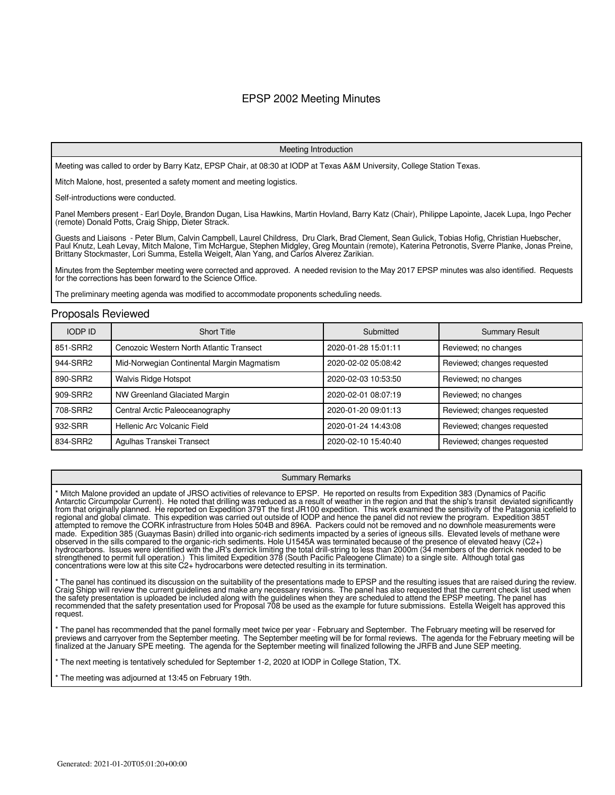## EPSP 2002 Meeting Minutes

#### Meeting Introduction

Meeting was called to order by Barry Katz, EPSP Chair, at 08:30 at IODP at Texas A&M University, College Station Texas.

Mitch Malone, host, presented a safety moment and meeting logistics.

Self-introductions were conducted.

Panel Members present - Earl Doyle, Brandon Dugan, Lisa Hawkins, Martin Hovland, Barry Katz (Chair), Philippe Lapointe, Jacek Lupa, Ingo Pecher (remote) Donald Potts, Craig Shipp, Dieter Strack.

Guests and Liaisons - Peter Blum, Calvin Campbell, Laurel Childress, Dru Clark, Brad Clement, Sean Gulick, Tobias Hofig, Christian Huebscher, Paul Knutz, Leah Levay, Mitch Malone, Tim McHargue, Stephen Midgley, Greg Mountain (remote), Katerina Petronotis, Sverre Planke, Jonas Preine, Brittany Stockmaster, Lori Summa, Estella Weigelt, Alan Yang, and Carlos Alverez Zarikian.

Minutes from the September meeting were corrected and approved. A needed revision to the May 2017 EPSP minutes was also identified. Requests for the corrections has been forward to the Science Office.

The preliminary meeting agenda was modified to accommodate proponents scheduling needs.

#### Proposals Reviewed

| <b>IODP ID</b> | <b>Short Title</b>                         | Submitted           | <b>Summary Result</b>       |
|----------------|--------------------------------------------|---------------------|-----------------------------|
| 851-SRR2       | Cenozoic Western North Atlantic Transect   | 2020-01-28 15:01:11 | Reviewed; no changes        |
| 944-SRR2       | Mid-Norwegian Continental Margin Magmatism | 2020-02-02 05:08:42 | Reviewed; changes requested |
| 890-SRR2       | <b>Walvis Ridge Hotspot</b>                | 2020-02-03 10:53:50 | Reviewed; no changes        |
| 909-SRR2       | NW Greenland Glaciated Margin              | 2020-02-01 08:07:19 | Reviewed; no changes        |
| 708-SRR2       | Central Arctic Paleoceanography            | 2020-01-20 09:01:13 | Reviewed; changes requested |
| 932-SRR        | Hellenic Arc Volcanic Field                | 2020-01-24 14:43:08 | Reviewed; changes requested |
| 834-SRR2       | Agulhas Transkei Transect                  | 2020-02-10 15:40:40 | Reviewed; changes requested |

#### Summary Remarks

Mitch Malone provided an update of JRSO activities of relevance to EPSP. He reported on results from Expedition 383 (Dynamics of Pacific Antarctic Circumpolar Current). He noted that drilling was reduced as a result of weather in the region and that the ship's transit deviated significantly from that originally planned. He reported on Expedition 379T the first JR100 expedition. This work examined the sensitivity of the Patagonia icefield to regional and global climate. This expedition was carried out outside of IODP and hence the panel did not review the program. Expedition 385T attempted to remove the CORK infrastructure from Holes 504B and 896A. Packers could not be removed and no downhole measurements were made. Expedition 385 (Guaymas Basin) drilled into organic-rich sediments impacted by a series of igneous sills. Elevated levels of methane were observed in the sills compared to the organic-rich sediments. Hole U1545A was terminated because of the presence of elevated heavy (C2+) hydrocarbons. Issues were identified with the JR's derrick limiting the total drill-string to less than 2000m (34 members of the derrick needed to be strengthened to permit full operation.) This limited Expedition 378 (South Pacific Paleogene Climate) to a single site. Although total gas concentrations were low at this site C2+ hydrocarbons were detected resulting in its termination.

The panel has continued its discussion on the suitability of the presentations made to EPSP and the resulting issues that are raised during the review. Craig Shipp will review the current guidelines and make any necessary revisions. The panel has also requested that the current check list used when the safety presentation is uploaded be included along with the guidelines when they are scheduled to attend the EPSP meeting. The panel has recommended that the safety presentation used for Proposal 708 be used as the example for future submissions. Estella Weigelt has approved this request.

\* The panel has recommended that the panel formally meet twice per year - February and September. The February meeting will be reserved for previews and carryover from the September meeting. The September meeting will be for formal reviews. The agenda for the February meeting will be finalized at the January SPE meeting. The agenda for the September meeting will finalized following the JRFB and June SEP meeting.

\* The next meeting is tentatively scheduled for September 1-2, 2020 at IODP in College Station, TX.

The meeting was adjourned at 13:45 on February 19th.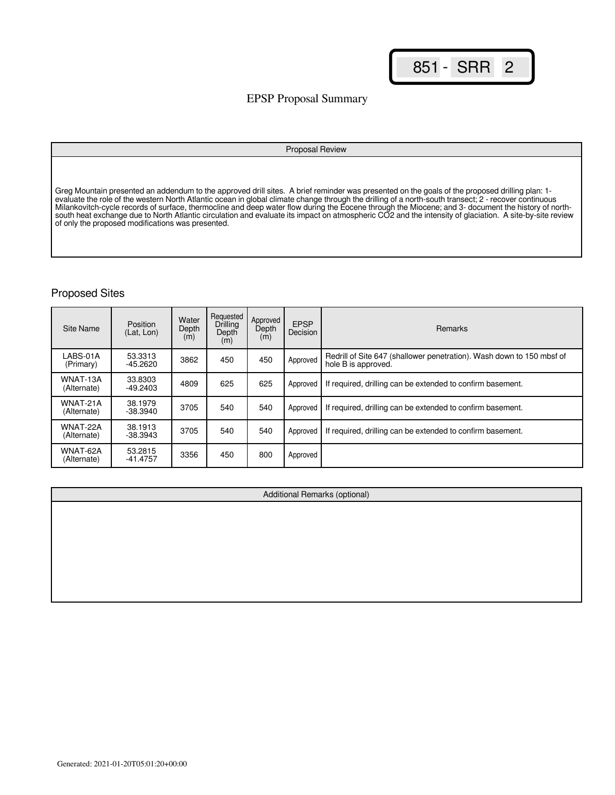## EPSP Proposal Summary

#### Proposal Review

Greg Mountain presented an addendum to the approved drill sites. A brief reminder was presented on the goals of the proposed drilling plan: 1 evaluate the role of the western North Atlantic ocean in global climate change through the drilling of a north-south transect; 2 - recover continuous Milankovitch-cycle records of surface, thermocline and deep water flow during the Eocene through the Miocene; and 3- document the history of northsouth heat exchange due to North Atlantic circulation and evaluate its impact on atmospheric CO2 and the intensity of glaciation. A site-by-site review of only the proposed modifications was presented.

| <b>Site Name</b>        | Position<br>(Lat, Lon) | Water<br>Depth<br>(m) | Requested<br>Drilling<br>Depth<br>(m) | Approved<br>Depth<br>(m) | <b>EPSP</b><br>Decision | Remarks                                                                                      |
|-------------------------|------------------------|-----------------------|---------------------------------------|--------------------------|-------------------------|----------------------------------------------------------------------------------------------|
| LABS-01A<br>(Primary)   | 53.3313<br>$-45.2620$  | 3862                  | 450                                   | 450                      | Approved                | Redrill of Site 647 (shallower penetration). Wash down to 150 mbsf of<br>hole B is approved. |
| WNAT-13A<br>(Alternate) | 33.8303<br>$-49.2403$  | 4809                  | 625                                   | 625                      | Approved                | If required, drilling can be extended to confirm basement.                                   |
| WNAT-21A<br>(Alternate) | 38.1979<br>-38.3940    | 3705                  | 540                                   | 540                      | Approved                | If required, drilling can be extended to confirm basement.                                   |
| WNAT-22A<br>(Alternate) | 38.1913<br>$-38.3943$  | 3705                  | 540                                   | 540                      | Approved                | If required, drilling can be extended to confirm basement.                                   |
| WNAT-62A<br>(Alternate) | 53.2815<br>$-41.4757$  | 3356                  | 450                                   | 800                      | Approved                |                                                                                              |

| Additional Remarks (optional) |  |  |  |  |  |  |  |  |
|-------------------------------|--|--|--|--|--|--|--|--|
|                               |  |  |  |  |  |  |  |  |
|                               |  |  |  |  |  |  |  |  |
|                               |  |  |  |  |  |  |  |  |
|                               |  |  |  |  |  |  |  |  |
|                               |  |  |  |  |  |  |  |  |
|                               |  |  |  |  |  |  |  |  |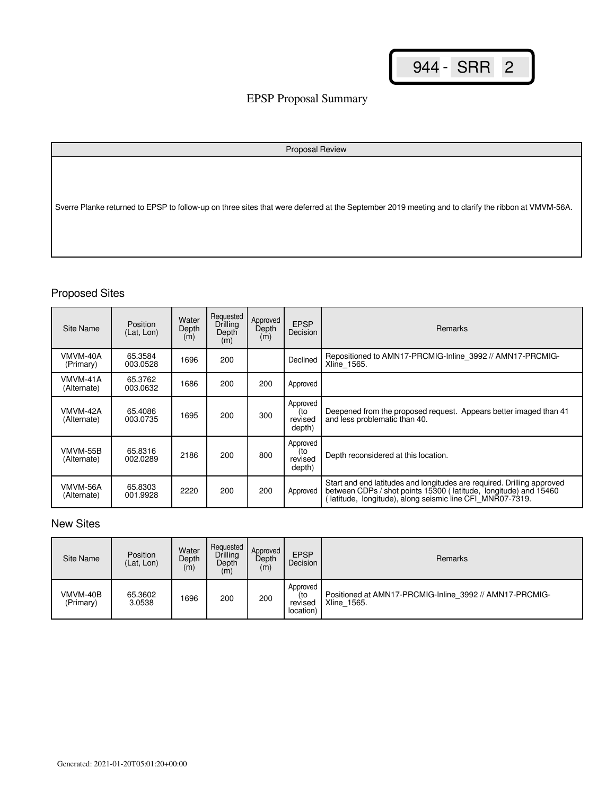# EPSP Proposal Summary

| Proposal Review                                                                                                                                    |
|----------------------------------------------------------------------------------------------------------------------------------------------------|
| Sverre Planke returned to EPSP to follow-up on three sites that were deferred at the September 2019 meeting and to clarify the ribbon at VMVM-56A. |

# Proposed Sites

| Site Name               | <b>Position</b><br>(Lat, Lon) | Water<br>Depth<br>(m) | Requested<br>Drilling<br>Depth<br>(m) | Approved<br>Depth<br>(m) | <b>EPSP</b><br><b>Decision</b>       | <b>Remarks</b>                                                                                                                                                                                         |
|-------------------------|-------------------------------|-----------------------|---------------------------------------|--------------------------|--------------------------------------|--------------------------------------------------------------------------------------------------------------------------------------------------------------------------------------------------------|
| VMVM-40A<br>(Primary)   | 65.3584<br>003.0528           | 1696                  | 200                                   |                          | Declined                             | Repositioned to AMN17-PRCMIG-Inline 3992 // AMN17-PRCMIG-<br>Xline_1565.                                                                                                                               |
| VMVM-41A<br>(Alternate) | 65.3762<br>003.0632           | 1686                  | 200                                   | 200                      | Approved                             |                                                                                                                                                                                                        |
| VMVM-42A<br>(Alternate) | 65.4086<br>003.0735           | 1695                  | 200                                   | 300                      | Approved<br>(to<br>revised<br>depth) | Deepened from the proposed request. Appears better imaged than 41<br>and less problematic than 40.                                                                                                     |
| VMVM-55B<br>(Alternate) | 65.8316<br>002.0289           | 2186                  | 200                                   | 800                      | Approved<br>(to<br>revised<br>depth) | Depth reconsidered at this location.                                                                                                                                                                   |
| VMVM-56A<br>(Alternate) | 65.8303<br>001.9928           | 2220                  | 200                                   | 200                      | Approved                             | Start and end latitudes and longitudes are required. Drilling approved<br>between CDPs / shot points 15300 (latitude, longitude) and 15460<br>latitude, longitude), along seismic line CFI_MNR07-7319. |

# New Sites

| Site Name             | Position<br>(Lat. Lon) | Water<br>Depth<br>(m) | Requested<br>Drilling<br>Depth<br>(m) | Approved<br>Depth<br>(m) | <b>EPSP</b><br>Decision                 | Remarks                                                                |
|-----------------------|------------------------|-----------------------|---------------------------------------|--------------------------|-----------------------------------------|------------------------------------------------------------------------|
| VMVM-40B<br>(Primary) | 65.3602<br>3.0538      | 1696                  | 200                                   | 200                      | Approved<br>(to<br>revised<br>location) | Positioned at AMN17-PRCMIG-Inline 3992 // AMN17-PRCMIG-<br>Xline 1565. |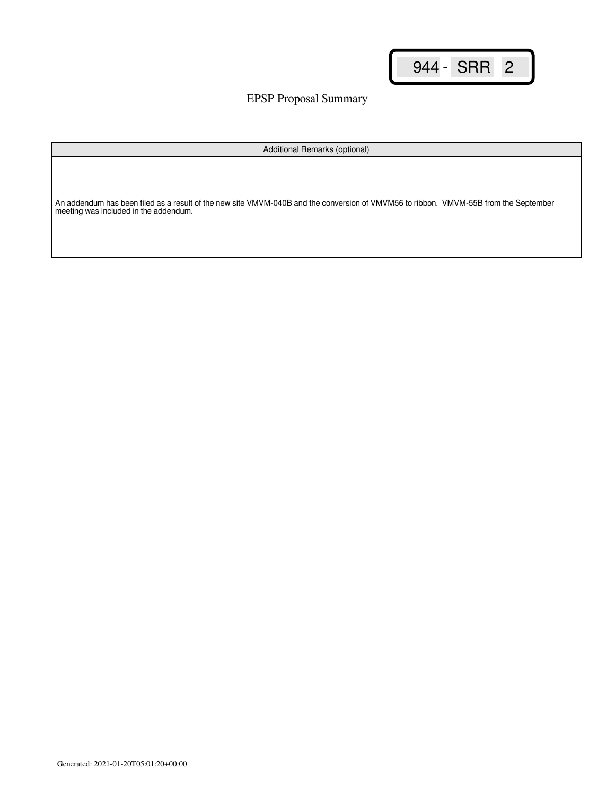EPSP Proposal Summary

Additional Remarks (optional)

An addendum has been filed as a result of the new site VMVM-040B and the conversion of VMVM56 to ribbon. VMVM-55B from the September meeting was included in the addendum.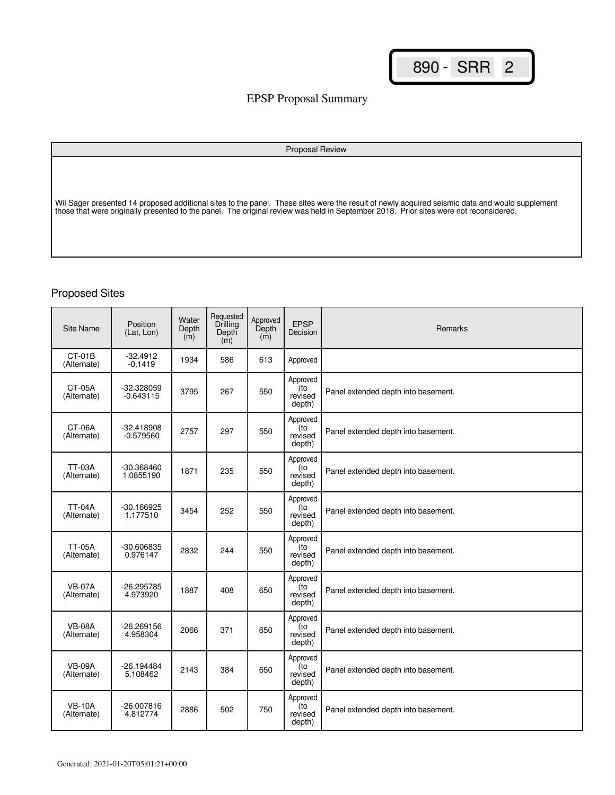# EPSP Proposal Summary

# Proposal Review Wil Sager presented 14 proposed additional sites to the panel. These sites were the result of newly acquired seismic data and would supplement those that were originally presented to the panel. The original review was held in September 2018. Prior sites were not reconsidered.

| <b>Site Name</b>             | Position<br>(Lat. Lon)      | Water<br>Depth<br>(m) | Requested<br>Drilling<br>Depth<br>(m) | Approved<br>Depth<br>(m) | <b>EPSP</b><br>Decision              | <b>Remarks</b>                      |
|------------------------------|-----------------------------|-----------------------|---------------------------------------|--------------------------|--------------------------------------|-------------------------------------|
| CT-01B<br>(Alternate)        | $-32.4912$<br>$-0.1419$     | 1934                  | 586                                   | 613                      | Approved                             |                                     |
| <b>CT-05A</b><br>(Alternate) | -32.328059<br>$-0.643115$   | 3795                  | 267                                   | 550                      | Approved<br>(to<br>revised<br>depth) | Panel extended depth into basement. |
| CT-06A<br>(Alternate)        | $-32.418908$<br>$-0.579560$ | 2757                  | 297                                   | 550                      | Approved<br>(to<br>revised<br>depth) | Panel extended depth into basement. |
| <b>TT-03A</b><br>(Alternate) | -30.368460<br>1.0855190     | 1871                  | 235                                   | 550                      | Approved<br>(to<br>revised<br>depth) | Panel extended depth into basement. |
| <b>TT-04A</b><br>(Alternate) | $-30.166925$<br>1.177510    | 3454                  | 252                                   | 550                      | Approved<br>(to<br>revised<br>depth) | Panel extended depth into basement. |
| <b>TT-05A</b><br>(Alternate) | -30.606835<br>0.976147      | 2832                  | 244                                   | 550                      | Approved<br>(to<br>revised<br>depth) | Panel extended depth into basement. |
| <b>VB-07A</b><br>(Alternate) | -26.295785<br>4.973920      | 1887                  | 408                                   | 650                      | Approved<br>(to<br>revised<br>depth) | Panel extended depth into basement. |
| <b>VB-08A</b><br>(Alternate) | $-26.269156$<br>4.958304    | 2066                  | 371                                   | 650                      | Approved<br>(to<br>revised<br>depth) | Panel extended depth into basement. |
| <b>VB-09A</b><br>(Alternate) | $-26.194484$<br>5.108462    | 2143                  | 384                                   | 650                      | Approved<br>(to<br>revised<br>depth) | Panel extended depth into basement. |
| <b>VB-10A</b><br>(Alternate) | $-26.007816$<br>4.812774    | 2886                  | 502                                   | 750                      | Approved<br>(to<br>revised<br>depth) | Panel extended depth into basement. |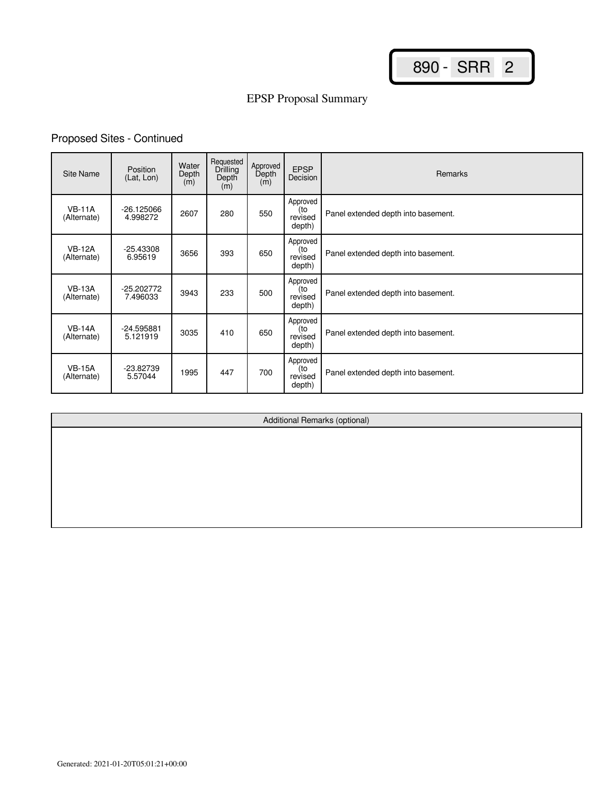# EPSP Proposal Summary

# Proposed Sites - Continued

| Site Name                    | Position<br>(Lat, Lon)   | Water<br>Depth<br>(m) | Requested<br>Drilling<br>Depth<br>(m) | Approved<br>Depth<br>(m) | <b>EPSP</b><br>Decision              | <b>Remarks</b>                      |
|------------------------------|--------------------------|-----------------------|---------------------------------------|--------------------------|--------------------------------------|-------------------------------------|
| <b>VB-11A</b><br>(Alternate) | $-26.125066$<br>4.998272 | 2607                  | 280                                   | 550                      | Approved<br>(to<br>revised<br>depth) | Panel extended depth into basement. |
| <b>VB-12A</b><br>(Alternate) | $-25.43308$<br>6.95619   | 3656                  | 393                                   | 650                      | Approved<br>(to<br>revised<br>depth) | Panel extended depth into basement. |
| <b>VB-13A</b><br>(Alternate) | -25.202772<br>7.496033   | 3943                  | 233                                   | 500                      | Approved<br>(to<br>revised<br>depth) | Panel extended depth into basement. |
| <b>VB-14A</b><br>(Alternate) | -24.595881<br>5.121919   | 3035                  | 410                                   | 650                      | Approved<br>(to<br>revised<br>depth) | Panel extended depth into basement. |
| <b>VB-15A</b><br>(Alternate) | -23.82739<br>5.57044     | 1995                  | 447                                   | 700                      | Approved<br>(to<br>revised<br>depth) | Panel extended depth into basement. |

Additional Remarks (optional)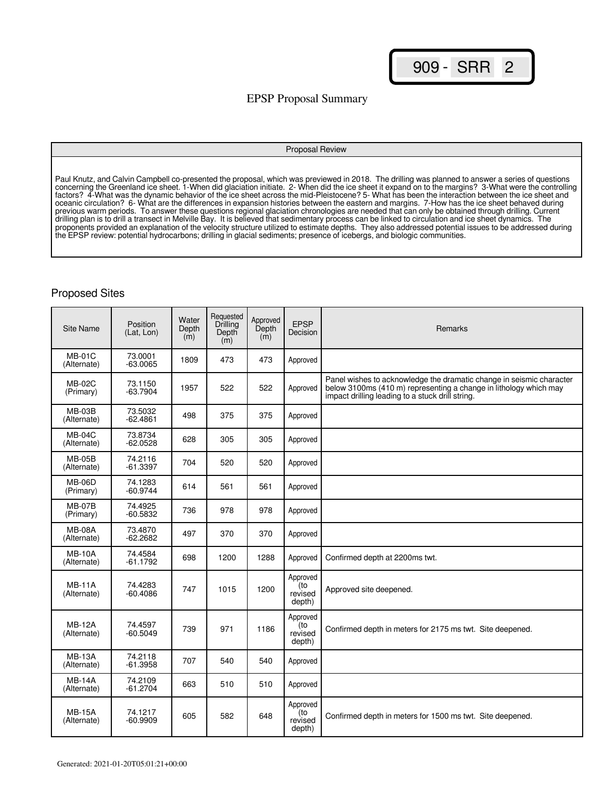## EPSP Proposal Summary

#### Proposal Review

Paul Knutz, and Calvin Campbell co-presented the proposal, which was previewed in 2018. The drilling was planned to answer a series of questions concerning the Greenland ice sheet. 1-When did glaciation initiate. 2- When did the ice sheet it expand on to the margins? 3-What were the controlling factors? 4-What was the dynamic behavior of the ice sheet across the mid-Pleistocene? 5- What has been the interaction between the ice sheet and oceanic circulation? 6- What are the differences in expansion histories between the eastern and margins. 7-How has the ice sheet behaved during previous warm periods. To answer these questions regional glaciation chronologies are needed that can only be obtained through drilling. Current drilling plan is to drill a transect in Melville Bay. It is believed that sedimentary process can be linked to circulation and ice sheet dynamics. The proponents provided an explanation of the velocity structure utilized to estimate depths. They also addressed potential issues to be addressed during the EPSP review: potential hydrocarbons; drilling in glacial sediments; presence of icebergs, and biologic communities.

| Site Name                    | Position<br>(Lat. Lon) | Water<br>Depth<br>$\dot{m}$ | Requested<br>Drilling<br>Depth<br>(m) | Approved<br>Depth<br>(m) | <b>EPSP</b><br>Decision              | Remarks                                                                                                                                                                                       |
|------------------------------|------------------------|-----------------------------|---------------------------------------|--------------------------|--------------------------------------|-----------------------------------------------------------------------------------------------------------------------------------------------------------------------------------------------|
| $MB-01C$<br>(Alternate)      | 73.0001<br>$-63.0065$  | 1809                        | 473                                   | 473                      | Approved                             |                                                                                                                                                                                               |
| <b>MB-02C</b><br>(Primary)   | 73.1150<br>$-63.7904$  | 1957                        | 522                                   | 522                      | Approved                             | Panel wishes to acknowledge the dramatic change in seismic character<br>below 3100ms (410 m) representing a change in lithology which may<br>impact drilling leading to a stuck drill string. |
| <b>MB-03B</b><br>(Alternate) | 73.5032<br>$-62.4861$  | 498                         | 375                                   | 375                      | Approved                             |                                                                                                                                                                                               |
| <b>MB-04C</b><br>(Alternate) | 73.8734<br>$-62.0528$  | 628                         | 305                                   | 305                      | Approved                             |                                                                                                                                                                                               |
| <b>MB-05B</b><br>(Alternate) | 74.2116<br>$-61.3397$  | 704                         | 520                                   | 520                      | Approved                             |                                                                                                                                                                                               |
| $MB-06D$<br>(Primary)        | 74.1283<br>$-60.9744$  | 614                         | 561                                   | 561                      | Approved                             |                                                                                                                                                                                               |
| <b>MB-07B</b><br>(Primary)   | 74.4925<br>$-60.5832$  | 736                         | 978                                   | 978                      | Approved                             |                                                                                                                                                                                               |
| <b>MB-08A</b><br>(Alternate) | 73.4870<br>$-62.2682$  | 497                         | 370                                   | 370                      | Approved                             |                                                                                                                                                                                               |
| <b>MB-10A</b><br>(Alternate) | 74.4584<br>$-61.1792$  | 698                         | 1200                                  | 1288                     | Approved                             | Confirmed depth at 2200ms twt.                                                                                                                                                                |
| <b>MB-11A</b><br>(Alternate) | 74.4283<br>-60.4086    | 747                         | 1015                                  | 1200                     | Approved<br>(to<br>revised<br>depth) | Approved site deepened.                                                                                                                                                                       |
| <b>MB-12A</b><br>(Alternate) | 74.4597<br>$-60.5049$  | 739                         | 971                                   | 1186                     | Approved<br>to)<br>revised<br>depth) | Confirmed depth in meters for 2175 ms twt. Site deepened.                                                                                                                                     |
| <b>MB-13A</b><br>(Alternate) | 74.2118<br>$-61.3958$  | 707                         | 540                                   | 540                      | Approved                             |                                                                                                                                                                                               |
| <b>MB-14A</b><br>(Alternate) | 74.2109<br>$-61.2704$  | 663                         | 510                                   | 510                      | Approved                             |                                                                                                                                                                                               |
| <b>MB-15A</b><br>(Alternate) | 74.1217<br>$-60.9909$  | 605                         | 582                                   | 648                      | Approved<br>(to<br>revised<br>depth) | Confirmed depth in meters for 1500 ms twt. Site deepened.                                                                                                                                     |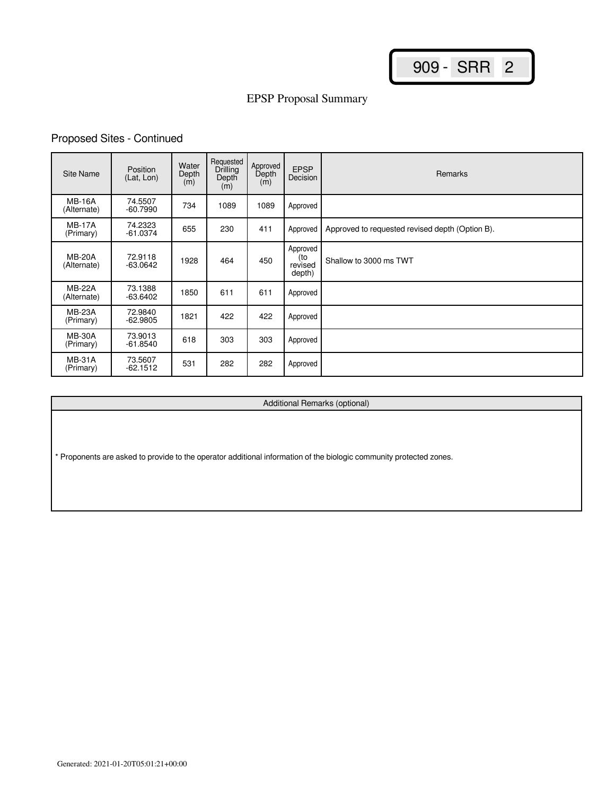# EPSP Proposal Summary

# Proposed Sites - Continued

| Site Name                    | Position<br>(Lat, Lon) | Water<br>Depth<br>(m) | Requested<br>Drilling<br>Depth<br>(m) | Approved<br>Depth<br>(m) | <b>EPSP</b><br>Decision              | <b>Remarks</b>                                  |
|------------------------------|------------------------|-----------------------|---------------------------------------|--------------------------|--------------------------------------|-------------------------------------------------|
| <b>MB-16A</b><br>(Alternate) | 74.5507<br>$-60.7990$  | 734                   | 1089                                  | 1089                     | Approved                             |                                                 |
| <b>MB-17A</b><br>(Primary)   | 74.2323<br>$-61.0374$  | 655                   | 230                                   | 411                      | Approved                             | Approved to requested revised depth (Option B). |
| <b>MB-20A</b><br>(Alternate) | 72.9118<br>$-63.0642$  | 1928                  | 464                                   | 450                      | Approved<br>(to<br>revised<br>depth) | Shallow to 3000 ms TWT                          |
| <b>MB-22A</b><br>(Alternate) | 73.1388<br>$-63.6402$  | 1850                  | 611                                   | 611                      | Approved                             |                                                 |
| <b>MB-23A</b><br>(Primary)   | 72.9840<br>$-62.9805$  | 1821                  | 422                                   | 422                      | Approved                             |                                                 |
| <b>MB-30A</b><br>(Primary)   | 73.9013<br>-61.8540    | 618                   | 303                                   | 303                      | Approved                             |                                                 |
| <b>MB-31A</b><br>(Primary)   | 73.5607<br>$-62.1512$  | 531                   | 282                                   | 282                      | Approved                             |                                                 |

Additional Remarks (optional)

\* Proponents are asked to provide to the operator additional information of the biologic community protected zones.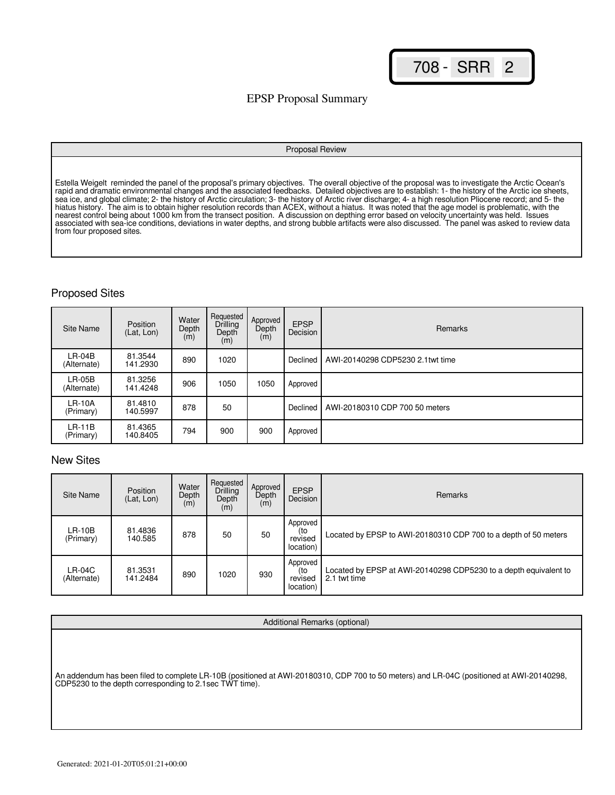## EPSP Proposal Summary

#### Proposal Review

Estella Weigelt reminded the panel of the proposal's primary objectives. The overall objective of the proposal was to investigate the Arctic Ocean's rapid and dramatic environmental changes and the associated feedbacks. Detailed objectives are to establish: 1- the history of the Arctic ice sheets, sea ice, and global climate; 2- the history of Arctic circulation; 3- the history of Arctic river discharge; 4- a high resolution Pliocene record; and 5- the hiatus history. The aim is to obtain higher resolution records than ACEX, without a hiatus. It was noted that the age model is problematic, with the nearest control being about 1000 km from the transect position. A discussion on depthing error based on velocity uncertainty was held. Issues associated with sea-ice conditions, deviations in water depths, and strong bubble artifacts were also discussed. The panel was asked to review data from four proposed sites.

## Proposed Sites

| Site Name               | Position<br>(Lat, Lon) | Water<br>Depth<br>(m) | Requested<br>Drilling<br>Depth<br>(m) | Approved<br>Depth<br>(m) | <b>EPSP</b><br>Decision | <b>Remarks</b>                   |
|-------------------------|------------------------|-----------------------|---------------------------------------|--------------------------|-------------------------|----------------------------------|
| $LR-04B$<br>(Alternate) | 81.3544<br>141.2930    | 890                   | 1020                                  |                          | Declined                | AWI-20140298 CDP5230 2.1twt time |
| $LR-05B$<br>(Alternate) | 81.3256<br>141.4248    | 906                   | 1050                                  | 1050                     | Approved                |                                  |
| $LR-10A$<br>(Primary)   | 81.4810<br>140.5997    | 878                   | 50                                    |                          | Declined                | AWI-20180310 CDP 700 50 meters   |
| $LR-11B$<br>(Primary)   | 81.4365<br>140.8405    | 794                   | 900                                   | 900                      | Approved                |                                  |

## New Sites

| Site Name               | Position<br>(Lat, Lon) | Water<br>Depth<br>(m) | Requested<br>Drilling<br>Depth<br>(m) | Approved<br>Depth<br>(m) | <b>EPSP</b><br>Decision                 | <b>Remarks</b>                                                                   |
|-------------------------|------------------------|-----------------------|---------------------------------------|--------------------------|-----------------------------------------|----------------------------------------------------------------------------------|
| LR-10B<br>(Primary)     | 81.4836<br>140.585     | 878                   | 50                                    | 50                       | Approved<br>(to<br>revised<br>location) | Located by EPSP to AWI-20180310 CDP 700 to a depth of 50 meters                  |
| $LR-04C$<br>(Alternate) | 81.3531<br>141.2484    | 890                   | 1020                                  | 930                      | Approved<br>(to<br>revised<br>location) | Located by EPSP at AWI-20140298 CDP5230 to a depth equivalent to<br>2.1 twt time |

#### Additional Remarks (optional)

An addendum has been filed to complete LR-10B (positioned at AWI-20180310, CDP 700 to 50 meters) and LR-04C (positioned at AWI-20140298, CDP5230 to the depth corresponding to 2.1sec TWT time).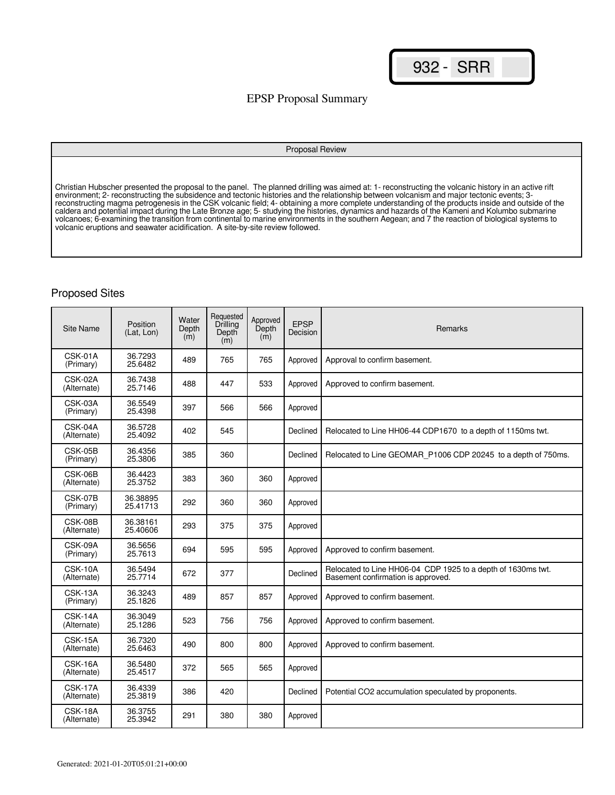## EPSP Proposal Summary

#### Proposal Review

Christian Hubscher presented the proposal to the panel. The planned drilling was aimed at: 1- reconstructing the volcanic history in an active rift environment; 2- reconstructing the subsidence and tectonic histories and the relationship between volcanism and major tectonic events; 3 reconstructing magma petrogenesis in the CSK volcanic field; 4- obtaining a more complete understanding of the products inside and outside of the caldera and potential impact during the Late Bronze age; 5- studying the histories, dynamics and hazards of the Kameni and Kolumbo submarine volcanoes; 6-examining the transition from continental to marine environments in the southern Aegean; and 7 the reaction of biological systems to volcanic eruptions and seawater acidification. A site-by-site review followed.

| <b>Site Name</b>         | Position<br>(Lat. Lon) | Water<br>Depth<br>(m) | Requested<br>Drilling<br>Depth<br>(m) | Approved<br>Depth<br>(m) | <b>EPSP</b><br>Decision | Remarks                                                                                            |
|--------------------------|------------------------|-----------------------|---------------------------------------|--------------------------|-------------------------|----------------------------------------------------------------------------------------------------|
| CSK-01A<br>(Primary)     | 36.7293<br>25.6482     | 489                   | 765                                   | 765                      | Approved                | Approval to confirm basement.                                                                      |
| CSK-02A<br>(Alternate)   | 36.7438<br>25.7146     | 488                   | 447                                   | 533                      | Approved                | Approved to confirm basement.                                                                      |
| CSK-03A<br>(Primary)     | 36.5549<br>25.4398     | 397                   | 566                                   | 566                      | Approved                |                                                                                                    |
| CSK-04A<br>(Alternate)   | 36.5728<br>25.4092     | 402                   | 545                                   |                          | Declined                | Relocated to Line HH06-44 CDP1670 to a depth of 1150ms twt.                                        |
| CSK-05B<br>(Primary)     | 36.4356<br>25.3806     | 385                   | 360                                   |                          | Declined                | Relocated to Line GEOMAR P1006 CDP 20245 to a depth of 750ms.                                      |
| CSK-06B<br>(Alternate)   | 36.4423<br>25.3752     | 383                   | 360                                   | 360                      | Approved                |                                                                                                    |
| CSK-07B<br>(Primary)     | 36.38895<br>25.41713   | 292                   | 360                                   | 360                      | Approved                |                                                                                                    |
| CSK-08B<br>(Alternate)   | 36.38161<br>25.40606   | 293                   | 375                                   | 375                      | Approved                |                                                                                                    |
| CSK-09A<br>(Primary)     | 36.5656<br>25.7613     | 694                   | 595                                   | 595                      | Approved                | Approved to confirm basement.                                                                      |
| CSK-10A<br>(Alternate)   | 36.5494<br>25.7714     | 672                   | 377                                   |                          | Declined                | Relocated to Line HH06-04 CDP 1925 to a depth of 1630ms twt.<br>Basement confirmation is approved. |
| CSK-13A<br>(Primary)     | 36.3243<br>25.1826     | 489                   | 857                                   | 857                      | Approved                | Approved to confirm basement.                                                                      |
| CSK-14A<br>(Alternate)   | 36.3049<br>25.1286     | 523                   | 756                                   | 756                      | Approved                | Approved to confirm basement.                                                                      |
| $CSK-15A$<br>(Alternate) | 36.7320<br>25.6463     | 490                   | 800                                   | 800                      | Approved                | Approved to confirm basement.                                                                      |
| CSK-16A<br>(Alternate)   | 36.5480<br>25.4517     | 372                   | 565                                   | 565                      | Approved                |                                                                                                    |
| CSK-17A<br>(Alternate)   | 36.4339<br>25.3819     | 386                   | 420                                   |                          | Declined                | Potential CO2 accumulation speculated by proponents.                                               |
| CSK-18A<br>(Alternate)   | 36.3755<br>25.3942     | 291                   | 380                                   | 380                      | Approved                |                                                                                                    |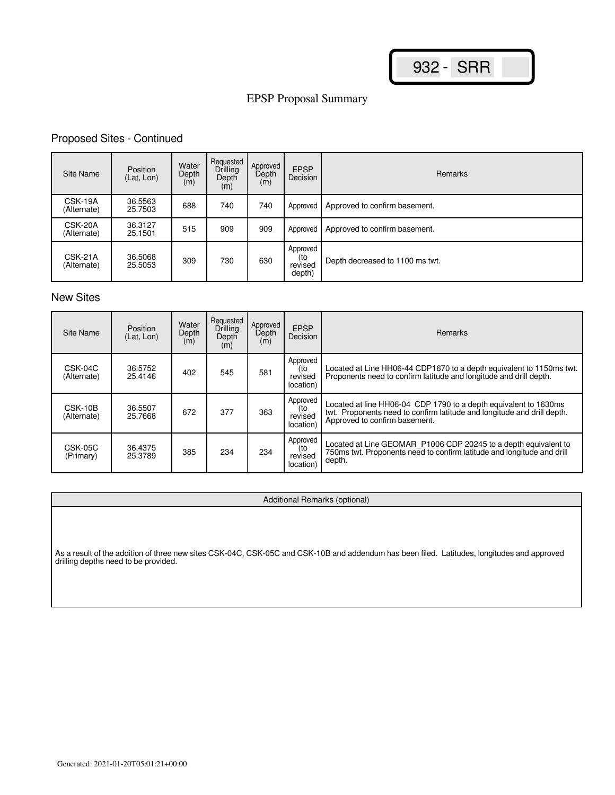# EPSP Proposal Summary

## Proposed Sites - Continued

| <b>Site Name</b>       | Position<br>(Lat, Lon) | Water<br>Depth<br>(m) | Requested<br><b>Drilling</b><br>Depth<br>(m) | Approved<br>Depth<br>(m) | <b>EPSP</b><br>Decision              | <b>Remarks</b>                  |
|------------------------|------------------------|-----------------------|----------------------------------------------|--------------------------|--------------------------------------|---------------------------------|
| CSK-19A<br>(Alternate) | 36.5563<br>25.7503     | 688                   | 740                                          | 740                      | Approved                             | Approved to confirm basement.   |
| CSK-20A<br>(Alternate) | 36.3127<br>25.1501     | 515                   | 909                                          | 909                      | Approved                             | Approved to confirm basement.   |
| CSK-21A<br>(Alternate) | 36,5068<br>25.5053     | 309                   | 730                                          | 630                      | Approved<br>(to<br>revised<br>depth) | Depth decreased to 1100 ms twt. |

## New Sites

| Site Name              | Position<br>(Lat. Lon) | Water<br>Depth<br>(m) | Requested<br>Drilling<br>Depth<br>(m) | Approved<br>Depth<br>(m) | <b>EPSP</b><br>Decision                 | <b>Remarks</b>                                                                                                                                                               |
|------------------------|------------------------|-----------------------|---------------------------------------|--------------------------|-----------------------------------------|------------------------------------------------------------------------------------------------------------------------------------------------------------------------------|
| CSK-04C<br>(Alternate) | 36.5752<br>25.4146     | 402                   | 545                                   | 581                      | Approved<br>(to<br>revised<br>location) | Located at Line HH06-44 CDP1670 to a depth equivalent to 1150ms twt.<br>Proponents need to confirm latitude and longitude and drill depth.                                   |
| CSK-10B<br>(Alternate) | 36.5507<br>25.7668     | 672                   | 377                                   | 363                      | Approved<br>(to<br>revised<br>location) | Located at line HH06-04 CDP 1790 to a depth equivalent to 1630ms<br>twt. Proponents need to confirm latitude and longitude and drill depth.<br>Approved to confirm basement. |
| CSK-05C<br>(Primary)   | 36.4375<br>25.3789     | 385                   | 234                                   | 234                      | Approved<br>(to<br>revised<br>location) | Located at Line GEOMAR_P1006 CDP 20245 to a depth equivalent to<br>750ms twt. Proponents need to confirm latitude and longitude and drill<br>depth.                          |

#### Additional Remarks (optional)

As a result of the addition of three new sites CSK-04C, CSK-05C and CSK-10B and addendum has been filed. Latitudes, longitudes and approved drilling depths need to be provided.